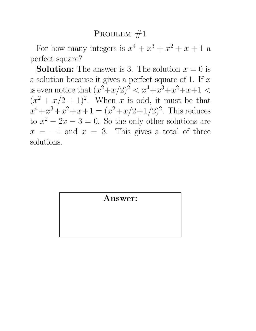For how many integers is  $x^4 + x^3 + x^2 + x + 1$  a perfect square?

**Solution:** The answer is 3. The solution  $x = 0$  is a solution because it gives a perfect square of 1. If  $x$ is even notice that  $(x^2+x/2)^2 < x^4+x^3+x^2+x+1 <$  $(x^2 + x/2 + 1)^2$ . When x is odd, it must be that  $x^4 + x^3 + x^2 + x + 1 = (x^2 + x/2 + 1/2)^2$ . This reduces to  $x^2 - 2x - 3 = 0$ . So the only other solutions are  $x = -1$  and  $x = 3$ . This gives a total of three solutions.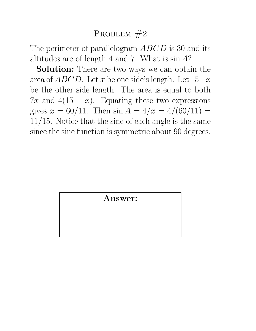The perimeter of parallelogram ABCD is 30 and its altitudes are of length 4 and 7. What is  $\sin A$ ?

**Solution:** There are two ways we can obtain the area of  $ABCD$ . Let x be one side's length. Let  $15-x$ be the other side length. The area is equal to both 7x and 4(15  $-x$ ). Equating these two expressions gives  $x = \frac{60}{11}$ . Then  $\sin A = \frac{4}{x} = \frac{4}{60}{11} =$ 11/15. Notice that the sine of each angle is the same since the sine function is symmetric about 90 degrees.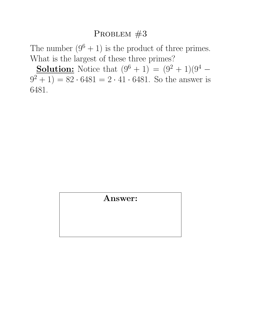The number  $(9^6 + 1)$  is the product of three primes. What is the largest of these three primes?

**Solution:** Notice that  $(9^6 + 1) = (9^2 + 1)(9^4 (9^2 + 1) = 82 \cdot 6481 = 2 \cdot 41 \cdot 6481$ . So the answer is 6481.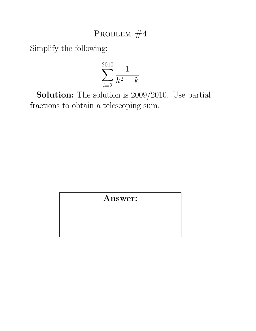Simplify the following:

$$
\sum_{i=2}^{2010} \frac{1}{k^2 - k}
$$

**Solution:** The solution is 2009/2010. Use partial fractions to obtain a telescoping sum.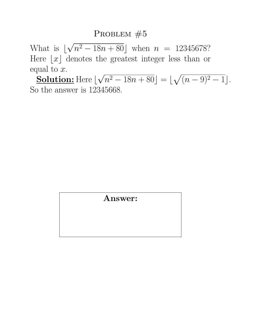What is  $\vert$ √  $n^2 - 18n + 80$  when  $n = 12345678$ ? Here  $\lfloor x \rfloor$  denotes the greatest integer less than or equal to  $x$ . √ p

**Solution:** Here  $\vert$  $n^2 - 18n + 80 =$  $(n-9)^2-1$ . So the answer is 12345668.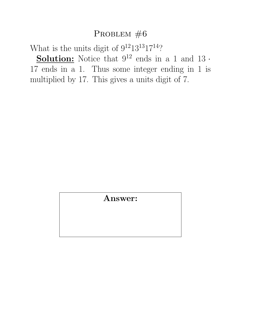What is the units digit of  $9^{12}13^{13}17^{14}$ ?

**Solution:** Notice that  $9^{12}$  ends in a 1 and 13  $\cdot$ 17 ends in a 1. Thus some integer ending in 1 is multiplied by 17. This gives a units digit of 7.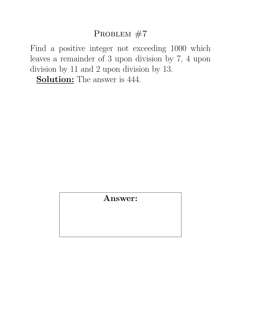Find a positive integer not exceeding 1000 which leaves a remainder of 3 upon division by 7, 4 upon division by 11 and 2 upon division by 13.

Solution: The answer is  $444$ .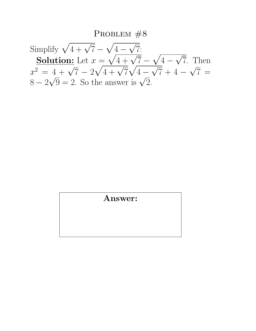Simplify  $\sqrt{4 + \sqrt{7}}$  –  $\frac{1}{\sqrt{2}}$  $4 -$ √ 7: **Solution:** Let  $x =$  $\sqrt{\frac{4-\sqrt{7}}{4+\sqrt{7}}}$ p  $4 -$ √ 7. Then  $x^2 = 4 + \sqrt{7} - 2$  $\begin{array}{c} \gamma = \sqrt{4} + \sqrt{7} \\ \sqrt{4} + \sqrt{7} \end{array}$  $\mathcal{N}_{\mathcal{A}}$  $4 \frac{N}{4}$  $7 + 4 -$ √  $4+\sqrt{7}-2\sqrt{4}+\sqrt{7}\sqrt{4}-\sqrt{7}+4-\sqrt{7}=$  $x^2 = 4 + \sqrt{7 - 2\sqrt{4 + \sqrt{7^2}}}$ <br>8-2 $\sqrt{9} = 2$ . So the answer is  $\sqrt{2}$ .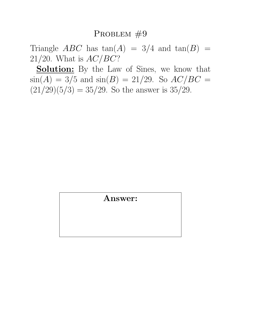Triangle *ABC* has  $tan(A) = 3/4$  and  $tan(B) =$ 21/20. What is  $AC/BC$ ?

**Solution:** By the Law of Sines, we know that  $\sin(A) = 3/5$  and  $\sin(B) = 21/29$ . So  $AC/BC =$  $(21/29)(5/3) = 35/29$ . So the answer is 35/29.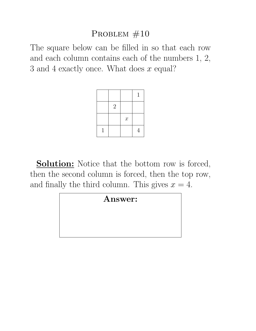The square below can be filled in so that each row and each column contains each of the numbers 1, 2, 3 and 4 exactly once. What does  $x$  equal?

|            |                            | 1              |
|------------|----------------------------|----------------|
| $\sqrt{2}$ |                            |                |
|            | $\boldsymbol{\mathcal{X}}$ |                |
|            |                            | $\overline{4}$ |

**Solution:** Notice that the bottom row is forced, then the second column is forced, then the top row, and finally the third column. This gives  $x = 4$ .